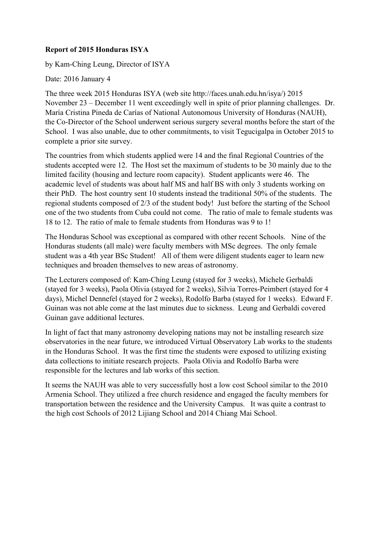## **Report of 2015 Honduras ISYA**

by Kam-Ching Leung, Director of ISYA

Date: 2016 January 4

The three week 2015 Honduras ISYA (web site http://faces.unah.edu.hn/isya/) 2015 November 23 – December 11 went exceedingly well in spite of prior planning challenges. Dr. María Cristina Pineda de Carías of National Autonomous University of Honduras (NAUH), the Co-Director of the School underwent serious surgery several months before the start of the School. I was also unable, due to other commitments, to visit Tegucigalpa in October 2015 to complete a prior site survey.

The countries from which students applied were 14 and the final Regional Countries of the students accepted were 12. The Host set the maximum of students to be 30 mainly due to the limited facility (housing and lecture room capacity). Student applicants were 46. The academic level of students was about half MS and half BS with only 3 students working on their PhD. The host country sent 10 students instead the traditional 50% of the students. The regional students composed of 2/3 of the student body! Just before the starting of the School one of the two students from Cuba could not come. The ratio of male to female students was 18 to 12. The ratio of male to female students from Honduras was 9 to 1!

The Honduras School was exceptional as compared with other recent Schools. Nine of the Honduras students (all male) were faculty members with MSc degrees. The only female student was a 4th year BSc Student! All of them were diligent students eager to learn new techniques and broaden themselves to new areas of astronomy.

The Lecturers composed of: Kam-Ching Leung (stayed for 3 weeks), Michele Gerbaldi (stayed for 3 weeks), Paola Olivia (stayed for 2 weeks), Silvia Torres-Peimbert (stayed for 4 days), Michel Dennefel (stayed for 2 weeks), Rodolfo Barba (stayed for 1 weeks). Edward F. Guinan was not able come at the last minutes due to sickness. Leung and Gerbaldi covered Guinan gave additional lectures.

In light of fact that many astronomy developing nations may not be installing research size observatories in the near future, we introduced Virtual Observatory Lab works to the students in the Honduras School. It was the first time the students were exposed to utilizing existing data collections to initiate research projects. Paola Olivia and Rodolfo Barba were responsible for the lectures and lab works of this section.

It seems the NAUH was able to very successfully host a low cost School similar to the 2010 Armenia School. They utilized a free church residence and engaged the faculty members for transportation between the residence and the University Campus. It was quite a contrast to the high cost Schools of 2012 Lijiang School and 2014 Chiang Mai School.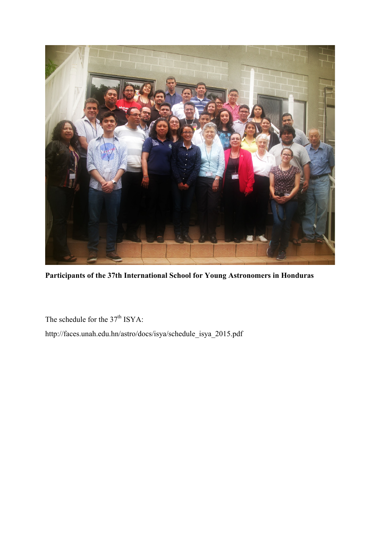

**Participants of the 37th International School for Young Astronomers in Honduras**

The schedule for the 37<sup>th</sup> ISYA:

http://faces.unah.edu.hn/astro/docs/isya/schedule\_isya\_2015.pdf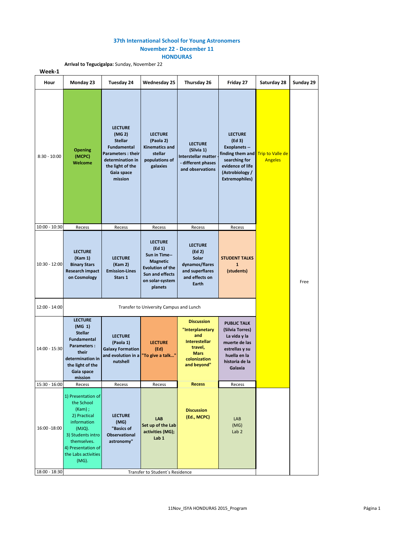## **37th International School for Young Astronomers November 22 - December 11**

**HONDURAS**

**Arrival to Tegucigalpa:** Sunday, November 22

| Week-1         |                                                                                                                                                                                  |                                                                                                                                                        |                                                                                                                                                    |                                                                                                                              |                                                                                                                                                       |                                           |           |
|----------------|----------------------------------------------------------------------------------------------------------------------------------------------------------------------------------|--------------------------------------------------------------------------------------------------------------------------------------------------------|----------------------------------------------------------------------------------------------------------------------------------------------------|------------------------------------------------------------------------------------------------------------------------------|-------------------------------------------------------------------------------------------------------------------------------------------------------|-------------------------------------------|-----------|
| Hour           | Monday 23                                                                                                                                                                        | Tuesday 24                                                                                                                                             | <b>Wednesday 25</b>                                                                                                                                | Thursday 26                                                                                                                  | Friday 27                                                                                                                                             | Saturday 28                               | Sunday 29 |
| $8:30 - 10:00$ | <b>Opening</b><br>(MCPC)<br>Welcome                                                                                                                                              | <b>LECTURE</b><br>(MG 2)<br><b>Stellar</b><br>Fundamental<br><b>Parameters: their</b><br>determination in<br>the light of the<br>Gaia space<br>mission | <b>LECTURE</b><br>(Paola 2)<br><b>Kinematics and</b><br>stellar<br>populations of<br>galaxies                                                      | <b>LECTURE</b><br>(Silvia 1)<br>Interstellar matter<br>- different phases<br>and observations                                | <b>LECTURE</b><br>(Ed 3)<br><b>Exoplanets --</b><br>finding them and<br>searching for<br>evidence of life<br>(Astrobiology /<br><b>Extremophiles)</b> | <b>Trip to Valle de</b><br><b>Angeles</b> |           |
| 10:00 - 10:30  | Recess                                                                                                                                                                           | Recess                                                                                                                                                 | Recess                                                                                                                                             | Recess                                                                                                                       | Recess                                                                                                                                                |                                           |           |
| 10:30 - 12:00  | <b>LECTURE</b><br>(Kam 1)<br><b>Binary Stars</b><br><b>Research impact</b><br>on Cosmology                                                                                       | <b>LECTURE</b><br>(Kam 2)<br><b>Emission-Lines</b><br>Stars 1                                                                                          | <b>LECTURE</b><br>$(\text{Ed } 1)$<br>Sun in Time--<br><b>Magnetic</b><br><b>Evolution of the</b><br>Sun and effects<br>on solar-system<br>planets | <b>LECTURE</b><br>(Ed 2)<br>Solar<br>dynamos/flares<br>and superflares<br>and effects on<br>Earth                            | <b>STUDENT TALKS</b><br>$\mathbf{1}$<br>(students)                                                                                                    |                                           | Free      |
| 12:00 - 14:00  | Transfer to University Campus and Lunch                                                                                                                                          |                                                                                                                                                        |                                                                                                                                                    |                                                                                                                              |                                                                                                                                                       |                                           |           |
| 14:00 - 15:30  | <b>LECTURE</b><br>(MG 1)<br><b>Stellar</b><br>Fundamental<br>Parameters:<br>their<br>determination in<br>the light of the<br>Gaia space<br>mission                               | <b>LECTURE</b><br>(Paola 1)<br><b>Galaxy Formation</b><br>and evolution in a<br>nutshell                                                               | <b>LECTURE</b><br>(Ed)<br>"To give a talk"                                                                                                         | <b>Discussion</b><br>"Interplanetary<br>and<br><b>Interestellar</b><br>travel,<br><b>Mars</b><br>colonization<br>and beyond" | <b>PUBLIC TALK</b><br>(Silvia Torres)<br>La vida y la<br>muerte de las<br>estrellas y su<br>huella en la<br>historia de la<br>Galaxia                 |                                           |           |
| 15:30 - 16:00  | Recess                                                                                                                                                                           | Recess                                                                                                                                                 | Recess                                                                                                                                             | <b>Recess</b>                                                                                                                | Recess                                                                                                                                                |                                           |           |
| 16:00 -18:00   | 1) Presentation of<br>the School<br>$(Kam)$ ;<br>2) Practical<br>information<br>(MJQ).<br>3) Students intro<br>themselves.<br>4) Presentation of<br>the Labs activities<br>(MG). | <b>LECTURE</b><br>(MG)<br>"Basics of<br>Observational<br>astronomy"                                                                                    | LAB<br>Set up of the Lab<br>activities (MG);<br>Lab 1                                                                                              | <b>Discussion</b><br>(Ed., MCPC)                                                                                             | LAB<br>(MG)<br>Lab <sub>2</sub>                                                                                                                       |                                           |           |
| 18:00 - 18:30  | Transfer to Student's Residence                                                                                                                                                  |                                                                                                                                                        |                                                                                                                                                    |                                                                                                                              |                                                                                                                                                       |                                           |           |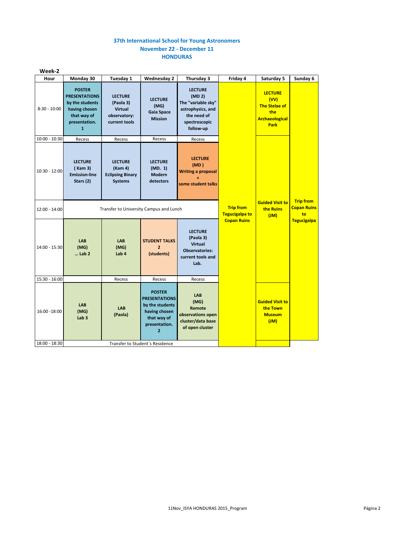## **37th International School for Young Astronomers November 22 - December 11 HONDURAS**

| Week-2          |                                                                                                                           |                                                                                |                                                                                                                             |                                                                                                                              |                                             |                                                             |                    |  |  |  |  |  |  |  |  |  |  |  |  |  |  |  |  |                                                                                               |  |
|-----------------|---------------------------------------------------------------------------------------------------------------------------|--------------------------------------------------------------------------------|-----------------------------------------------------------------------------------------------------------------------------|------------------------------------------------------------------------------------------------------------------------------|---------------------------------------------|-------------------------------------------------------------|--------------------|--|--|--|--|--|--|--|--|--|--|--|--|--|--|--|--|-----------------------------------------------------------------------------------------------|--|
| Hour            | Monday <sub>30</sub>                                                                                                      | Tuesday 1                                                                      | <b>Wednesday 2</b>                                                                                                          | Thursday 3                                                                                                                   | Friday 4                                    | Saturday 5                                                  | Sunday 6           |  |  |  |  |  |  |  |  |  |  |  |  |  |  |  |  |                                                                                               |  |
| $8:30 - 10:00$  | <b>POSTER</b><br><b>PRESENTATIONS</b><br>by the students<br>having chosen<br>that way of<br>presentation.<br>$\mathbf{1}$ | <b>LECTURE</b><br>(Paola 3)<br><b>Virtual</b><br>observatory:<br>current tools | <b>LECTURE</b><br>(MG)<br>Gaia Space<br><b>Mission</b>                                                                      | <b>LECTURE</b><br>(MD <sub>2</sub> )<br>The "variable sky"<br>astrophysics, and<br>the need of<br>spectroscopic<br>follow-up |                                             |                                                             |                    |  |  |  |  |  |  |  |  |  |  |  |  |  |  |  |  | <b>LECTURE</b><br>(VV)<br><b>The Stelae of</b><br>the<br><b>Archaeological</b><br><b>Park</b> |  |
| $10:00 - 10:30$ | Recess                                                                                                                    | Recess                                                                         | Recess                                                                                                                      | Recess                                                                                                                       |                                             |                                                             |                    |  |  |  |  |  |  |  |  |  |  |  |  |  |  |  |  |                                                                                               |  |
| 10:30 - 12:00   | <b>LECTURE</b><br>(Kam 3)<br><b>Emission-line</b><br>Stars (2)                                                            | <b>LECTURE</b><br>(Kam 4)<br><b>Eclipsing Binary</b><br><b>Systems</b>         | <b>LECTURE</b><br>(MD. 1)<br><b>Modern</b><br>detectors                                                                     | <b>LECTURE</b><br>(MD)<br><b>Writing a proposal</b><br>some student talks                                                    |                                             |                                                             |                    |  |  |  |  |  |  |  |  |  |  |  |  |  |  |  |  |                                                                                               |  |
| 12:00 - 14:00   | Transfer to University Campus and Lunch                                                                                   |                                                                                |                                                                                                                             | <b>Trip from</b><br><b>Tegucigalpa to</b>                                                                                    | <b>Guided Visit to</b><br>the Ruins<br>(MI) | <b>Trip from</b><br><b>Copan Ruins</b><br>to                |                    |  |  |  |  |  |  |  |  |  |  |  |  |  |  |  |  |                                                                                               |  |
| 14:00 - 15:30   | <b>LAB</b><br>(MG)<br>$$ Lab $2$                                                                                          | <b>LAB</b><br>(MG)<br>Lab <sub>4</sub>                                         | <b>STUDENT TALKS</b><br>$\overline{2}$<br>(students)                                                                        | <b>LECTURE</b><br>(Paola 3)<br><b>Virtual</b><br><b>Observatories:</b><br>current tools and<br>Lab.                          | <b>Copan Ruins</b>                          |                                                             | <b>Tegucigalpa</b> |  |  |  |  |  |  |  |  |  |  |  |  |  |  |  |  |                                                                                               |  |
| 15:30 - 16:00   |                                                                                                                           | Recess                                                                         | Recess                                                                                                                      | Recess                                                                                                                       |                                             |                                                             |                    |  |  |  |  |  |  |  |  |  |  |  |  |  |  |  |  |                                                                                               |  |
| 16:00 -18:00    | <b>LAB</b><br>(MG)<br>Lab <sub>3</sub>                                                                                    | <b>LAB</b><br>(Paola)                                                          | <b>POSTER</b><br><b>PRESENTATIONS</b><br>by the students<br>having chosen<br>that way of<br>presentation.<br>$\overline{2}$ | <b>LAB</b><br>(MG)<br>Remote<br>observations open<br>cluster/data base<br>of open cluster                                    |                                             | <b>Guided Visit to</b><br>the Town<br><b>Museum</b><br>(Ml) |                    |  |  |  |  |  |  |  |  |  |  |  |  |  |  |  |  |                                                                                               |  |
| 18:00 - 18:30   | Transfer to Student's Residence                                                                                           |                                                                                |                                                                                                                             |                                                                                                                              |                                             |                                                             |                    |  |  |  |  |  |  |  |  |  |  |  |  |  |  |  |  |                                                                                               |  |